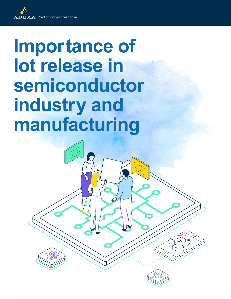## **Importance of lot release in semiconductor industry and manufacturing**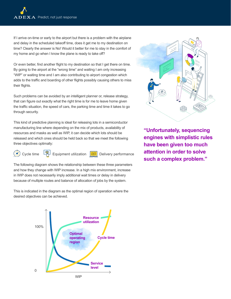If I arrive on-time or early to the airport but there is a problem with the airplane and delay in the scheduled takeoff time, does it get me to my destination on time? Clearly the answer is No! Would it better for me to stay in the comfort of my home and go when I know the plane is ready to take off?

Or even better, find another flight to my destination so that I get there on time. By going to the airport at the "wrong time" and waiting I am only increasing "WIP" or waiting time and I am also contributing to airport congestion which adds to the traffic and boarding of other flights possibly causing others to miss their flights.

Such problems can be avoided by an intelligent planner or, release strategy, that can figure out exactly what the right time is for me to leave home given the traffic situation, the speed of cars, the parking time and time it takes to go through security.

This kind of predictive planning is ideal for releasing lots in a semiconductor manufacturing line where depending on the mix of products, availability of resources and masks as well as WIP, it can decide which lots should be released and which ones should be held back so that we meet the following three objectives optimally:



Cycle time  $\begin{bmatrix} \mathbb{R}^n \end{bmatrix}$  Equipment utilization  $\begin{bmatrix} \frac{1}{2} & \frac{1}{2} \\ \frac{1}{2} & \frac{1}{2} \end{bmatrix}$  Delivery performance

The following diagram shows the relationship between these three parameters and how they change with WIP increase. In a high mix environment, increase in WIP does not necessarily imply additional wait times or delay in delivery because of multiple routes and balance of allocation of jobs by the system.

This is indicated in the diagram as the optimal region of operation where the desired objectives can be achieved.





**"Unfortunately, sequencing engines with simplistic rules have been given too much attention in order to solve such a complex problem."**